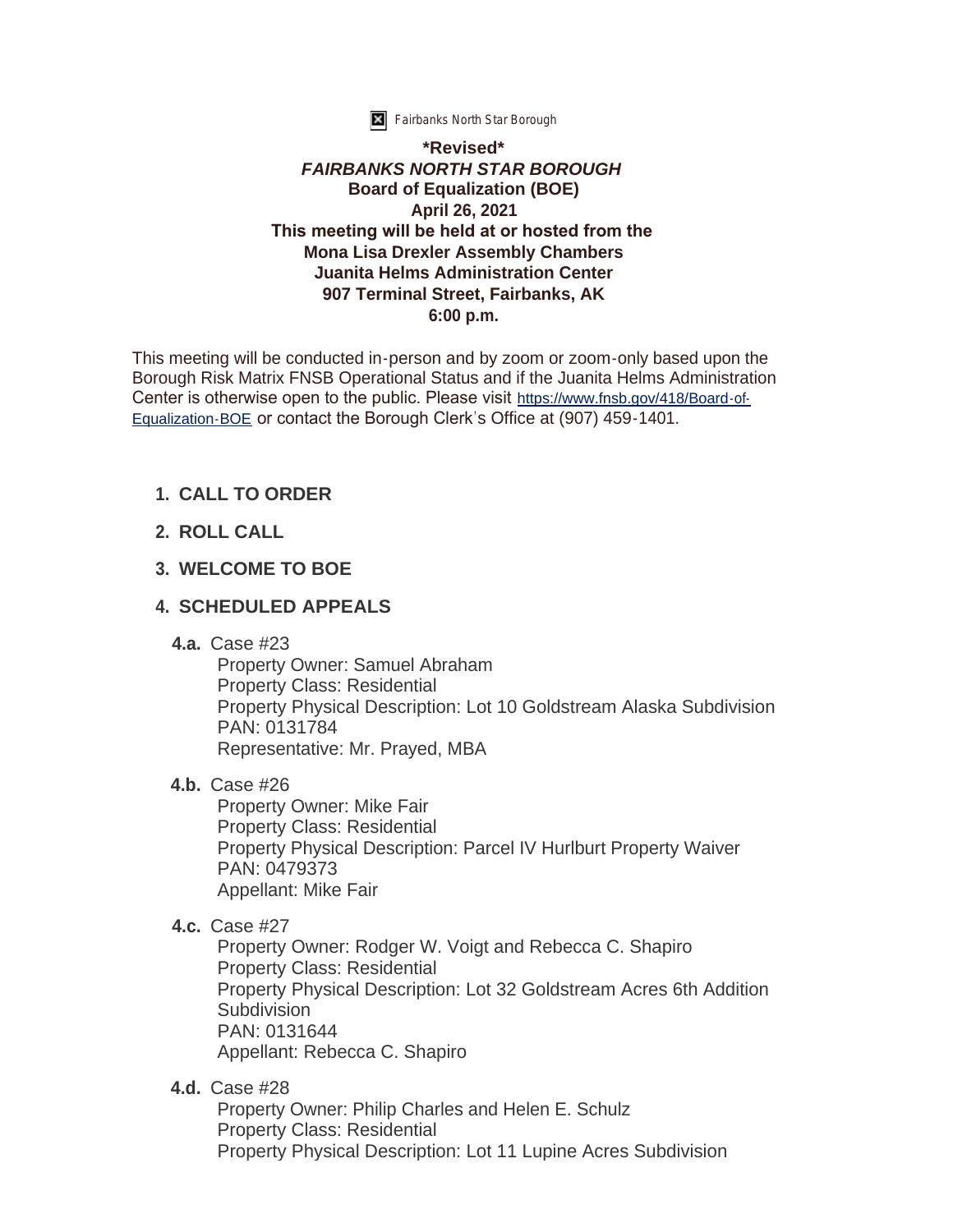

**K** Fairbanks North Star Borough

#### **\*Revised\*** *FAIRBANKS NORTH STAR BOROUGH* **Board of Equalization (BOE) April 26, 2021 This meeting will be held at or hosted from the Mona Lisa Drexler Assembly Chambers Juanita Helms Administration Center 907 Terminal Street, Fairbanks, AK 6:00 p.m.**

This meeting will be conducted in-person and by zoom or zoom-only based upon the Borough Risk Matrix FNSB Operational Status and if the Juanita Helms Administration Center is otherwise open to the public. Please visit [https://www.fnsb.gov/418/Board-of-](https://www.fnsb.gov/418/Board-of-Equalization-BOE)Equalization-BOE or contact the Borough Clerk's Office at (907) 459-1401.

# **CALL TO ORDER 1.**

**ROLL CALL 2.**

#### **WELCOME TO BOE 3.**

# **SCHEDULED APPEALS 4.**

Case #23 **4.a.**

Property Owner: Samuel Abraham Property Class: Residential Property Physical Description: Lot 10 Goldstream Alaska Subdivision PAN: 0131784 Representative: Mr. Prayed, MBA

**4.b.** Case #26

Property Owner: Mike Fair Property Class: Residential Property Physical Description: Parcel IV Hurlburt Property Waiver PAN: 0479373 Appellant: Mike Fair

**4.c.** Case #27

Property Owner: Rodger W. Voigt and Rebecca C. Shapiro Property Class: Residential Property Physical Description: Lot 32 Goldstream Acres 6th Addition Subdivision PAN: 0131644 Appellant: Rebecca C. Shapiro

Case #28 **4.d.**

Property Owner: Philip Charles and Helen E. Schulz Property Class: Residential Property Physical Description: Lot 11 Lupine Acres Subdivision